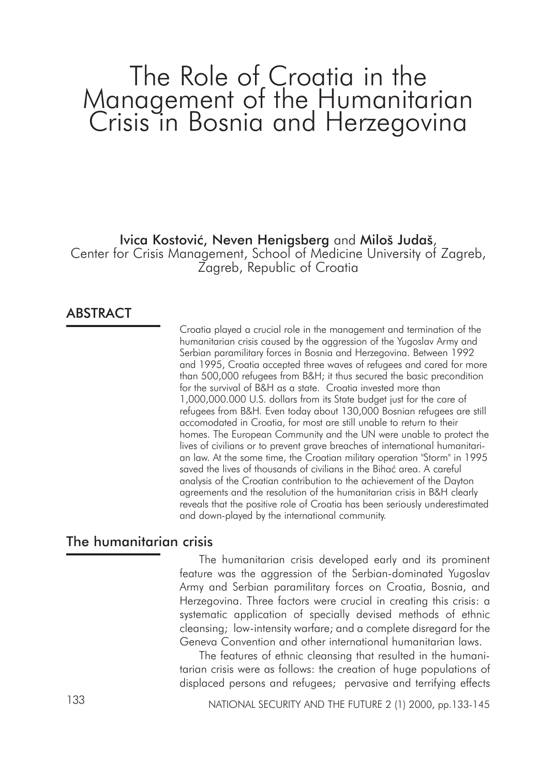# The Role of Croatia in the Management of the Humanitarian Crisis in Bosnia and Herzegovina

## Ivica Kostović, Neven Henigsberg and Miloš Judaš,

Center for Crisis Management, School of Medicine University of Zagreb, Zagreb, Republic of Croatia

# ABSTRACT

Croatia played a crucial role in the management and termination of the humanitarian crisis caused by the aggression of the Yugoslav Army and Serbian paramilitary forces in Bosnia and Herzegovina. Between 1992 and 1995, Croatia accepted three waves of refugees and cared for more than 500,000 refugees from B&H; it thus secured the basic precondition for the survival of B&H as a state. Croatia invested more than 1,000,000.000 U.S. dollars from its State budget just for the care of refugees from B&H. Even today about 130,000 Bosnian refugees are still accomodated in Croatia, for most are still unable to return to their homes. The European Community and the UN were unable to protect the lives of civilians or to prevent grave breaches of international humanitarian law. At the some time, the Croatian military operation "Storm" in 1995 saved the lives of thousands of civilians in the Bihać area. A careful analysis of the Croatian contribution to the achievement of the Dayton agreements and the resolution of the humanitarian crisis in B&H clearly reveals that the positive role of Croatia has been seriously underestimated and down-played by the international community.

# The humanitarian crisis

The humanitarian crisis developed early and its prominent feature was the aggression of the Serbian-dominated Yugoslav Army and Serbian paramilitary forces on Croatia, Bosnia, and Herzegovina. Three factors were crucial in creating this crisis: a systematic application of specially devised methods of ethnic cleansing; low-intensity warfare; and a complete disregard for the Geneva Convention and other international humanitarian laws.

The features of ethnic cleansing that resulted in the humanitarian crisis were as follows: the creation of huge populations of displaced persons and refugees; pervasive and terrifying effects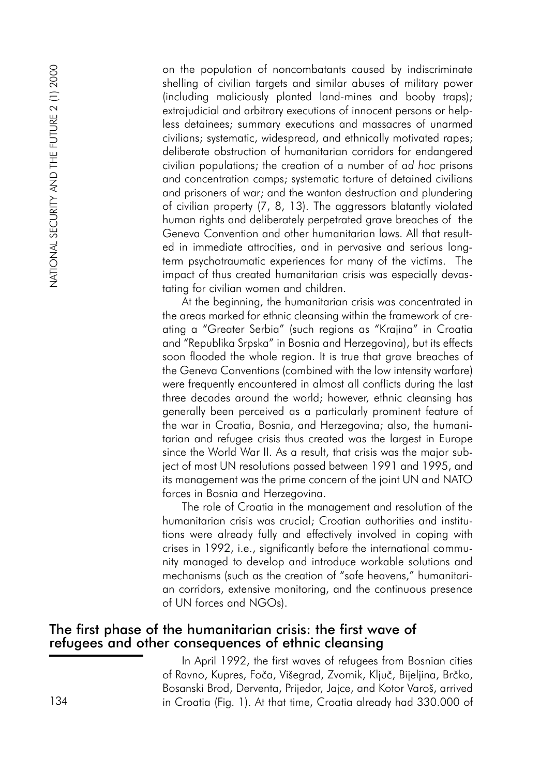on the population of noncombatants caused by indiscriminate shelling of civilian targets and similar abuses of military power (including maliciously planted land-mines and booby traps); extrajudicial and arbitrary executions of innocent persons or helpless detainees; summary executions and massacres of unarmed civilians; systematic, widespread, and ethnically motivated rapes; deliberate obstruction of humanitarian corridors for endangered civilian populations; the creation of a number of *ad hoc* prisons and concentration camps; systematic torture of detained civilians and prisoners of war; and the wanton destruction and plundering of civilian property (7, 8, 13). The aggressors blatantly violated human rights and deliberately perpetrated grave breaches of the Geneva Convention and other humanitarian laws. All that resulted in immediate attrocities, and in pervasive and serious longterm psychotraumatic experiences for many of the victims. The impact of thus created humanitarian crisis was especially devastating for civilian women and children. 134 on the population of noncombinations counted by indiscrimination and consister of National Secure (Fig. 1). At the fig. 1). At the fig. 1). At the secure of NaTION Cross conservers in the security provides a set in t

At the beginning, the humanitarian crisis was concentrated in the areas marked for ethnic cleansing within the framework of creating a "Greater Serbia" (such regions as "Krajina" in Croatia and "Republika Srpska" in Bosnia and Herzegovina), but its effects soon flooded the whole region. It is true that grave breaches of the Geneva Conventions (combined with the low intensity warfare) were frequently encountered in almost all conflicts during the last three decades around the world; however, ethnic cleansing has generally been perceived as a particularly prominent feature of the war in Croatia, Bosnia, and Herzegovina; also, the humanitarian and refugee crisis thus created was the largest in Europe since the World War II. As a result, that crisis was the major subject of most UN resolutions passed between 1991 and 1995, and its management was the prime concern of the joint UN and NATO forces in Bosnia and Herzegovina.

The role of Croatia in the management and resolution of the humanitarian crisis was crucial; Croatian authorities and institutions were already fully and effectively involved in coping with crises in 1992, i.e., significantly before the international community managed to develop and introduce workable solutions and mechanisms (such as the creation of "safe heavens," humanitarian corridors, extensive monitoring, and the continuous presence of UN forces and NGOs).

## The first phase of the humanitarian crisis: the first wave of refugees and other consequences of ethnic cleansing

In April 1992, the first waves of refugees from Bosnian cities of Ravno, Kupres, Foča, Višegrad, Zvornik, Ključ, Bijeljina, Brčko, Bosanski Brod, Derventa, Prijedor, Jajce, and Kotor Varoš, arrived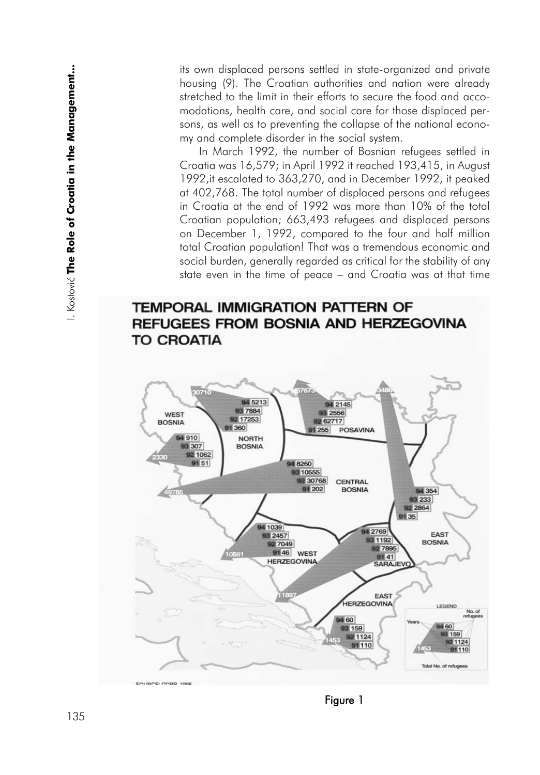its own displaced persons settled in state-organized and private housing (9). The Croatian authorities and nation were already stretched to the limit in their efforts to secure the food and accomodations, health care, and social care for those displaced persons, as well as to preventing the collapse of the national economy and complete disorder in the social system.

In March 1992, the number of Bosnian refugees settled in Croatia was 16,579; in April 1992 it reached 193,415, in August 1992,it escalated to 363,270, and in December 1992, it peaked at 402,768. The total number of displaced persons and refugees in Croatia at the end of 1992 was more than 10% of the total Croatian population; 663,493 refugees and displaced persons on December 1, 1992, compared to the four and half million total Croatian population! That was a tremendous economic and social burden, generally regarded as critical for the stability of any state even in the time of peace – and Croatia was at that time

# **TEMPORAL IMMIGRATION PATTERN OF** REFUGEES FROM BOSNIA AND HERZEGOVINA **TO CROATIA**

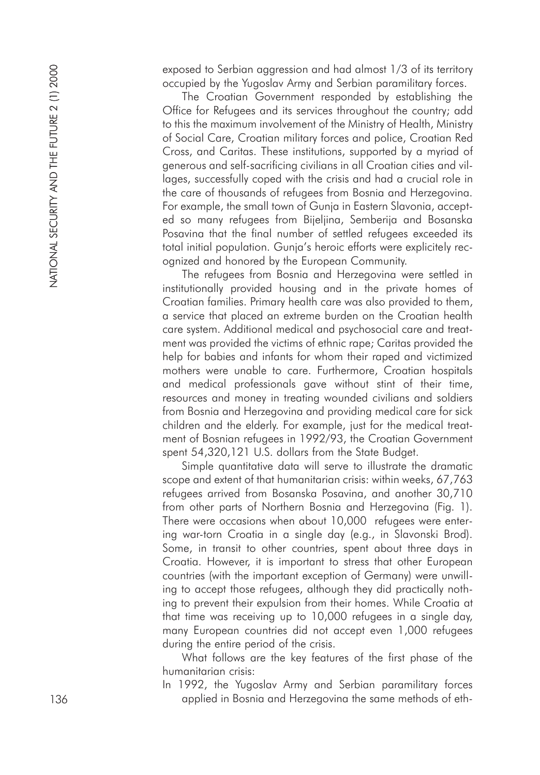exposed to Serbian aggression and had almost 1/3 of its territory occupied by the Yugoslav Army and Serbian paramilitary forces.

The Croatian Government responded by establishing the Office for Refugees and its services throughout the country; ad d to this the maximum involvement of the Ministry of Health, Ministry of Social Care, Croatian military forces and police, Croatian Red Cross, and Caritas. These institutions, supported by a myriad o f generous and self-sacrificing civilians in all Croatian cities and villages, successfully coped with the crisis and had a crucial role in the care of thousands of refugees from Bosnia and Herzegovina. For example, the small town of Gunja in Eastern Slavonia, accepted so many refugees from Bijeljina, Semberija and Bosanska Posavina that the final number of settled refugees exceeded its total initial population. Gunja's heroic efforts were explicitely recognized and honored by the European Community.

The refugees from Bosnia and Herzegovina were settled in institutionally provided housing and in the private homes of Croatian families. Primary health care was also provided to them, a service that placed an extreme burden on the Croatian health care system. Additional medical and psychosocial care and treat ment was provided the victims of ethnic rape; Caritas provided the help for babies and infants for whom their raped and victimized mothers were unable to care. Furthermore, Croatian hospitals and medical professionals gave without stint of their time, resources and money in treating wounded civilians and soldiers from Bosnia and Herzegovina and providing medical care for sick children and the elderly. For example, just for the medical treatment of Bosnian refugees in 1992/93, the Croatian Government spent 54,320,121 U.S. dollars from the State Budget.

Simple quantitative data will serve to illustrate the dramatic scope and extent of that humanitarian crisis: within weeks, 67,763 refugees arrived from Bosanska Posavina, and another 30,710 from other parts of Northern Bosnia and Herzegovina (Fig. 1). There were occasions when about 10,000 refugees were entering war-torn Croatia in a single day (e.g., in Slavonski Brod). Some, in transit to other countries, spent about three days in Croatia. However, it is important to stress that other European countries (with the important exception of Germany) were unwill ing to accept those refugees, although they did practically nothing to prevent their expulsion from their homes. While Croatia at that time was receiving up to 10,000 refugees in a single day, many European countries did not accept even 1,000 refugees during the entire period of the crisis.

What follows are the key features of the first phase of the humanitarian crisis:

In 1992, the Yugoslav Army and Serbian paramilitary forces applied in Bosnia and Herzegovina the same methods of eth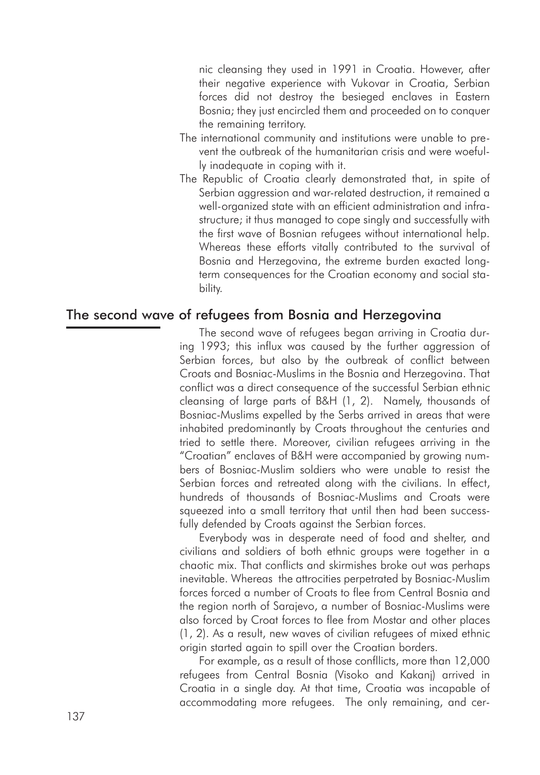nic cleansing they used in 1991 in Croatia. However, after their negative experience with Vukovar in Croatia, Serbian forces did not destroy the besieged enclaves in Eastern Bosnia; they just encircled them and proceeded on to conquer the remaining territory.

- The international community and institutions were unable to prevent the outbreak of the humanitarian crisis and were woefully inadequate in coping with it.
- The Republic of Croatia clearly demonstrated that, in spite of Serbian aggression and war-related destruction, it remained a well-organized state with an efficient administration and infrastructure; it thus managed to cope singly and successfully with the first wave of Bosnian refugees without international help. Whereas these efforts vitally contributed to the survival of Bosnia and Herzegovina, the extreme burden exacted longterm consequences for the Croatian economy and social stability.

#### The second wave of refugees from Bosnia and Herzegovina

The second wave of refugees began arriving in Croatia during 1993; this influx was caused by the further aggression of Serbian forces, but also by the outbreak of conflict between Croats and Bosniac-Muslims in the Bosnia and Herzegovina. That conflict was a direct consequence of the successful Serbian ethnic cleansing of large parts of B&H (1, 2). Namely, thousands of Bosniac-Muslims expelled by the Serbs arrived in areas that were inhabited predominantly by Croats throughout the centuries and tried to settle there. Moreover, civilian refugees arriving in the "Croatian" enclaves of B&H were accompanied by growing numbers of Bosniac-Muslim soldiers who were unable to resist the Serbian forces and retreated along with the civilians. In effect, hundreds of thousands of Bosniac-Muslims and Croats were squeezed into a small territory that until then had been successfully defended by Croats against the Serbian forces.

Everybody was in desperate need of food and shelter, and civilians and soldiers of both ethnic groups were together in a chaotic mix. That conflicts and skirmishes broke out was perhaps inevitable. Whereas the attrocities perpetrated by Bosniac-Muslim forces forced a number of Croats to flee from Central Bosnia and the region north of Sarajevo, a number of Bosniac-Muslims were also forced by Croat forces to flee from Mostar and other places (1, 2). As a result, new waves of civilian refugees of mixed ethnic origin started again to spill over the Croatian borders.

For example, as a result of those confllicts, more than 12,000 refugees from Central Bosnia (Visoko and Kakanj) arrived in Croatia in a single day. At that time, Croatia was incapable of accommodating more refugees. The only remaining, and cer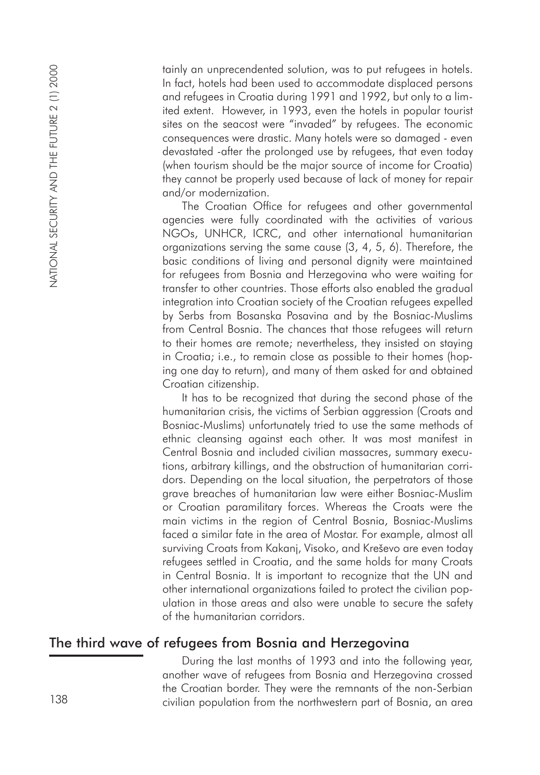tainly an unprecendented solution, was to put refugees in hotels. In fact, hotels had been used to accommodate displaced persons and refugees in Croatia during 1991 and 1992, but only to a limited extent. However, in 1993, even the hotels in popular tourist sites on the seacost were "invaded" by refugees. The economic consequences were drastic. Many hotels were so damaged - even devastated -after the prolonged use by refugees, that even today (when tourism should be the major source of income for Croatia) they cannot be properly used because of lack of money for repair and/or modernization.

The Croatian Office for refugees and other governmental agencies were fully coordinated with the activities of various NGOs, UNHCR, ICRC, and other international humanitarian organizations serving the same cause (3, 4, 5, 6). Therefore, the basic conditions of living and personal dignity were maintained for refugees from Bosnia and Herzegovina who were waiting for transfer to other countries. Those efforts also enabled the gradual integration into Croatian society of the Croatian refugees expelled by Serbs from Bosanska Posavina and by the Bosniac-Muslims from Central Bosnia. The chances that those refugees will return to their homes are remote; nevertheless, they insisted on staying in Croatia; i.e., to remain close as possible to their homes (hoping one day to return), and many of them asked for and obtained Croatian citizenship.

It has to be recognized that during the second phase of the humanitarian crisis, the victims of Serbian aggression (Croats and Bosniac-Muslims) unfortunately tried to use the same methods of ethnic cleansing against each other. It was most manifest in Central Bosnia and included civilian massacres, summary executions, arbitrary killings, and the obstruction of humanitarian corridors. Depending on the local situation, the perpetrators of those grave breaches of humanitarian law were either Bosniac-Muslim or Croatian paramilitary forces. Whereas the Croats were the main victims in the region of Central Bosnia, Bosniac-Muslims faced a similar fate in the area of Mostar. For example, almost all surviving Croats from Kakanj, Visoko, and Kreševo are even today refugees settled in Croatia, and the same holds for many Croats in Central Bosnia. It is important to recognize that the UN and other international organizations failed to protect the civilian population in those areas and also were unable to secure the safety of the humanitarian corridors. 138 civilian on proceed need to be a more from the northwests in Northwest and the northwest in Coconic during 1991 on the northwest in Coconic during the northwest in the northwest in the northwest in the northwest in th

# The third wave of refugees from Bosnia and Herzegovina

During the last months of 1993 and into the following year, another wave of refugees from Bosnia and Herzegovina crossed the Croatian border. They were the remnants of the non-Serbian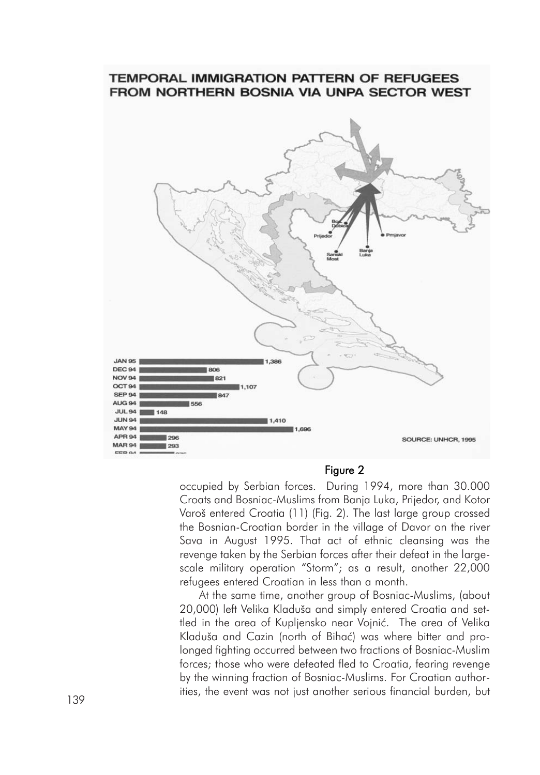#### **TEMPORAL IMMIGRATION PATTERN OF REFUGEES** FROM NORTHERN BOSNIA VIA UNPA SECTOR WEST



#### Figure 2

occupied by Serbian forces. During 1994, more than 30.000 Croats and Bosniac-Muslims from Banja Luka, Prijedor, and Kotor Varoš entered Croatia (11) (Fig. 2). The last large group crossed the Bosnian-Croatian border in the village of Davor on the river Sava in August 1995. That act of ethnic cleansing was the revenge taken by the Serbian forces after their defeat in the largescale military operation "Storm"; as a result, another 22,000 refugees entered Croatian in less than a month.

At the same time, another group of Bosniac-Muslims, (about 20,000) left Velika Kladuša and simply entered Croatia and settled in the area of Kupliensko near Voinić. The area of Velika Kladuša and Cazin (north of Bihać) was where bitter and prolonged fighting occurred between two fractions of Bosniac-Muslim forces; those who were defeated fled to Croatia, fearing revenge by the winning fraction of Bosniac-Muslims. For Croatian authorities, the event was not just another serious financial burden, but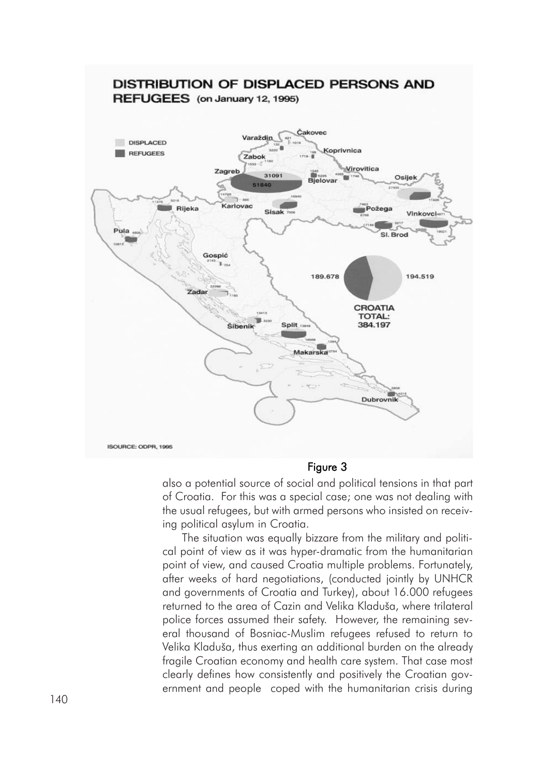

Figure 3

also a potential source of social and political tensions in that part of Croatia. For this was a special case; one was not dealing with the usual refugees, but with armed persons who insisted on receiving political asylum in Croatia.

The situation was equally bizzare from the military and political point of view as it was hyper-dramatic from the humanitarian point of view, and caused Croatia multiple problems. Fortunately, after weeks of hard negotiations, (conducted jointly by UNHCR and governments of Croatia and Turkey), about 16.000 refugees returned to the area of Cazin and Velika Kladuša, where trilateral police forces assumed their safety. However, the remaining sev eral thousand of Bosniac-Muslim refugees refused to return to Velika Kladuša, thus exerting an additional burden on the already fragile Croatian economy and health care system. That case most clearly defines how consistently and positively the Croatian government and people coped with the humanitarian crisis during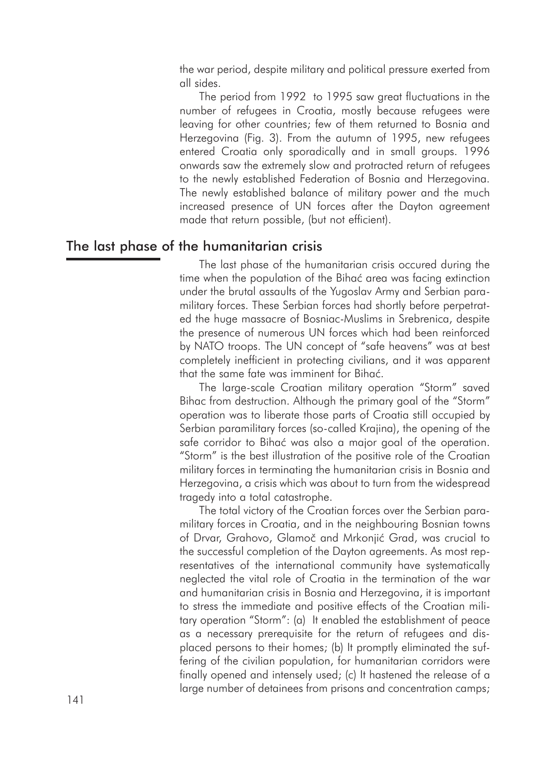the war period, despite military and political pressure exerted from all sides.

The period from 1992 to 1995 saw great fluctuations in the number of refugees in Croatia, mostly because refugees were leaving for other countries; few of them returned to Bosnia and Herzegovina (Fig. 3). From the autumn of 1995, new refugees entered Croatia only sporadically and in small groups. 1996 onwards saw the extremely slow and protracted return of refugees to the newly established Federation of Bosnia and Herzegovina. The newly established balance of military power and the much increased presence of UN forces after the Dayton agreement made that return possible, (but not efficient).

### The last phase of the humanitarian crisis

The last phase of the humanitarian crisis occured during the time when the population of the Bihać area was facing extinction under the brutal assaults of the Yugoslav Army and Serbian paramilitary forces. These Serbian forces had shortly before perpetrated the huge massacre of Bosniac-Muslims in Srebrenica, despite the presence of numerous UN forces which had been reinforced by NATO troops. The UN concept of "safe heavens" was at best completely inefficient in protecting civilians, and it was apparent that the same fate was imminent for Bihać.

The large-scale Croatian military operation "Storm" saved Bihac from destruction. Although the primary goal of the "Storm" operation was to liberate those parts of Croatia still occupied by Serbian paramilitary forces (so-called Krajina), the opening of the safe corridor to Bihać was also a major goal of the operation. "Storm" is the best illustration of the positive role of the Croatian military forces in terminating the humanitarian crisis in Bosnia and Herzegovina, a crisis which was about to turn from the widespread tragedy into a total catastrophe.

The total victory of the Croatian forces over the Serbian paramilitary forces in Croatia, and in the neighbouring Bosnian towns of Drvar, Grahovo, Glamoč and Mrkonjić Grad, was crucial to the successful completion of the Dayton agreements. As most representatives of the international community have systematically neglected the vital role of Croatia in the termination of the war and humanitarian crisis in Bosnia and Herzegovina, it is important to stress the immediate and positive effects of the Croatian military operation "Storm": (a) It enabled the establishment of peace as a necessary prerequisite for the return of refugees and displaced persons to their homes; (b) It promptly eliminated the suffering of the civilian population, for humanitarian corridors were finally opened and intensely used; (c) It hastened the release of a large number of detainees from prisons and concentration camps;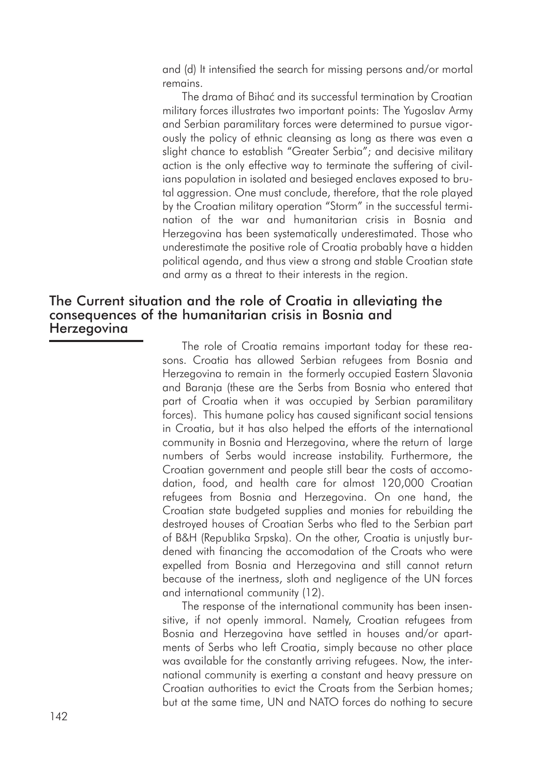and (d) It intensified the search for missing persons and/or mortal remains.

The drama of Bihać and its successful termination by Croatian military forces illustrates two important points: The Yugoslav Army and Serbian paramilitary forces were determined to pursue vigorously the policy of ethnic cleansing as long as there was even a slight chance to establish "Greater Serbia"; and decisive military action is the only effective way to terminate the suffering of civilians population in isolated and besieged enclaves exposed to brutal aggression. One must conclude, therefore, that the role played by the Croatian military operation "Storm" in the successful termination of the war and humanitarian crisis in Bosnia and Herzegovina has been systematically underestimated. Those who underestimate the positive role of Croatia probably have a hidden political agenda, and thus view a strong and stable Croatian state and army as a threat to their interests in the region.

# The Current situation and the role of Croatia in alleviating the consequences of the humanitarian crisis in Bosnia and **Herzegovina**

The role of Croatia remains important today for these reasons. Croatia has allowed Serbian refugees from Bosnia and Herzegovina to remain in the formerly occupied Eastern Slavonia and Baranja (these are the Serbs from Bosnia who entered that part of Croatia when it was occupied by Serbian paramilitary forces). This humane policy has caused significant social tensions in Croatia, but it has also helped the efforts of the international community in Bosnia and Herzegovina, where the return of large numbers of Serbs would increase instability. Furthermore, the Croatian government and people still bear the costs of accomodation, food, and health care for almost 120,000 Croatian refugees from Bosnia and Herzegovina. On one hand, the Croatian state budgeted supplies and monies for rebuilding the destroyed houses of Croatian Serbs who fled to the Serbian part of B&H (Republika Srpska). On the other, Croatia is unjustly burdened with financing the accomodation of the Croats who were expelled from Bosnia and Herzegovina and still cannot return because of the inertness, sloth and negligence of the UN forces and international community (12).

The response of the international community has been insensitive, if not openly immoral. Namely, Croatian refugees from Bosnia and Herzegovina have settled in houses and/or apartments of Serbs who left Croatia, simply because no other place was available for the constantly arriving refugees. Now, the international community is exerting a constant and heavy pressure on Croatian authorities to evict the Croats from the Serbian homes; but at the same time, UN and NATO forces do nothing to secure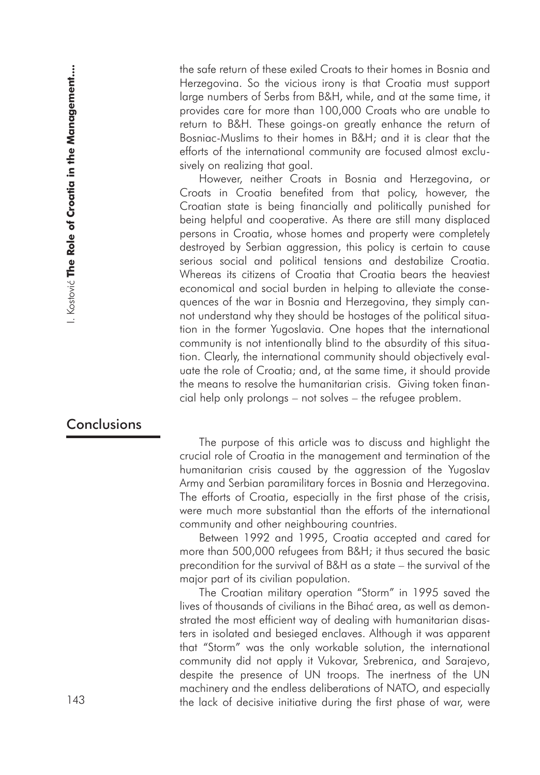the safe return of these exiled Croats to their homes in Bosnia and Herzegovina. So the vicious irony is that Croatia must support large numbers of Serbs from B&H, while, and at the same time, it provides care for more than 100,000 Croats who are unable to return to B&H. These goings-on greatly enhance the return of Bosniac-Muslims to their homes in B&H; and it is clear that the efforts of the international community are focused almost exclusively on realizing that goal.

However, neither Croats in Bosnia and Herzegovina, or Croats in Croatia benefited from that policy, however, the Croatian state is being financially and politically punished for being helpful and cooperative. As there are still many displaced persons in Croatia, whose homes and property were completely destroyed by Serbian aggression, this policy is certain to cause serious social and political tensions and destabilize Croatia. Whereas its citizens of Croatia that Croatia bears the heaviest economical and social burden in helping to alleviate the consequences of the war in Bosnia and Herzegovina, they simply cannot understand why they should be hostages of the political situation in the former Yugoslavia. One hopes that the international community is not intentionally blind to the absurdity of this situation. Clearly, the international community should objectively evaluate the role of Croatia; and, at the same time, it should provide the means to resolve the humanitarian crisis. Giving token financial help only prolongs – not solves – the refugee problem. 143 the mean of these casts of the lack of the lack of the lack of the lack of the lack of decisive initiative independent of Sath from B&H, while, and all the same line, the same line, the lack of Amilton and the same lin

# **Conclusions**

The purpose of this article was to discuss and highlight the crucial role of Croatia in the management and termination of the humanitarian crisis caused by the aggression of the Yugoslav Army and Serbian paramilitary forces in Bosnia and Herzegovina. The efforts of Croatia, especially in the first phase of the crisis, were much more substantial than the efforts of the international community and other neighbouring countries.

Between 1992 and 1995, Croatia accepted and cared for more than 500,000 refugees from B&H; it thus secured the basic precondition for the survival of B&H as a state – the survival of the major part of its civilian population.

The Croatian military operation "Storm" in 1995 saved the lives of thousands of civilians in the Bihać area, as well as demonstrated the most efficient way of dealing with humanitarian disasters in isolated and besieged enclaves. Although it was apparent that "Storm" was the only workable solution, the international community did not apply it Vukovar, Srebrenica, and Sarajevo, despite the presence of UN troops. The inertness of the UN machinery and the endless deliberations of NATO, and especially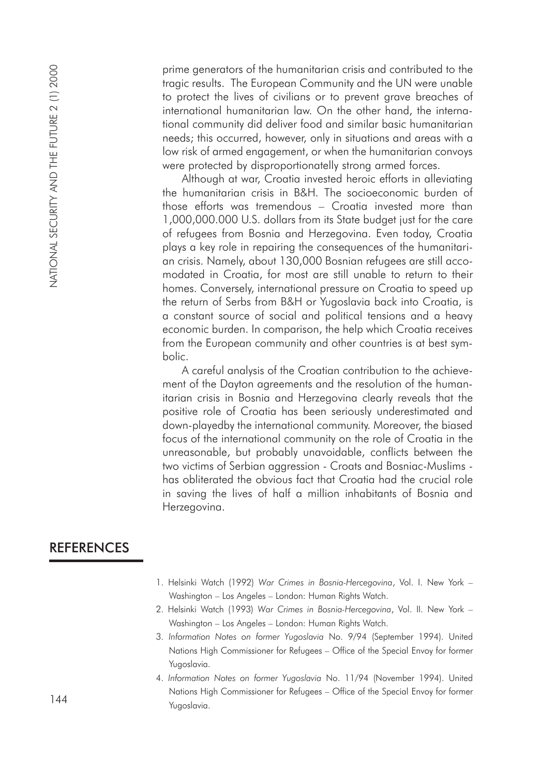prime generators of the humanitarian crisis and contributed to the tragic results. The European Community and the UN were unable to protect the lives of civilians or to prevent grave breaches of international humanitarian law. On the other hand, the international community did deliver food and similar basic humanitarian needs; this occurred, however, only in situations and areas with a low risk of armed engagement, or when the humanitarian convoys were protected by disproportionatelly strong armed forces.

Although at war, Croatia invested heroic efforts in alleviating the humanitarian crisis in B&H. The socioeconomic burden of those efforts was tremendous – Croatia invested more than 1,000,000.000 U.S. dollars from its State budget just for the care of refugees from Bosnia and Herzegovina. Even today, Croatia plays a key role in repairing the consequences of the humanitarian crisis. Namely, about 130,000 Bosnian refugees are still accomodated in Croatia, for most are still unable to return to their homes. Conversely, international pressure on Croatia to speed up the return of Serbs from B&H or Yugoslavia back into Croatia, is a constant source of social and political tensions and a heavy economic burden. In comparison, the help which Croatia receives from the European community and other countries is at best symbolic. Prime gen<br>
tragic result of protect<br>
internation<br>
to protect<br>
internation<br>
were protect<br>
were protect<br>
Althouse efficience<br>
Althouse efficience<br>
Althouse efficience<br>
1, 0,000,000<br>
of refugee<br>
plays a ke<br>
an crisis. In moda

A careful analysis of the Croatian contribution to the achievement of the Dayton agreements and the resolution of the humanitarian crisis in Bosnia and Herzegovina clearly reveals that the positive role of Croatia has been seriously underestimated and down-playedby the international community. Moreover, the biased focus of the international community on the role of Croatia in the unreasonable, but probably unavoidable, conflicts between the two victims of Serbian aggression - Croats and Bosniac-Muslims has obliterated the obvious fact that Croatia had the crucial role in saving the lives of half a million inhabitants of Bosnia and Herzegovina.

# **REFERENCES**

- 1. Helsinki Watch (1992) *War Crimes in Bosnia-Hercegovina*, Vol. I. New York Washington – Los Angeles – London: Human Rights Watch.
- 2. Helsinki Watch (1993) *War Crimes in Bosnia-Hercegovina*, Vol. II. New York Washington – Los Angeles – London: Human Rights Watch.
- 3. *Information Notes on former Yugoslavia* No. 9/94 (September 1994). United Nations High Commissioner for Refugees – Office of the Special Envoy for former Yugoslavia.
- 4. *Information Notes on former Yugoslavia* No. 11/94 (November 1994). United Nations High Commissioner for Refugees – Office of the Special Envoy for former